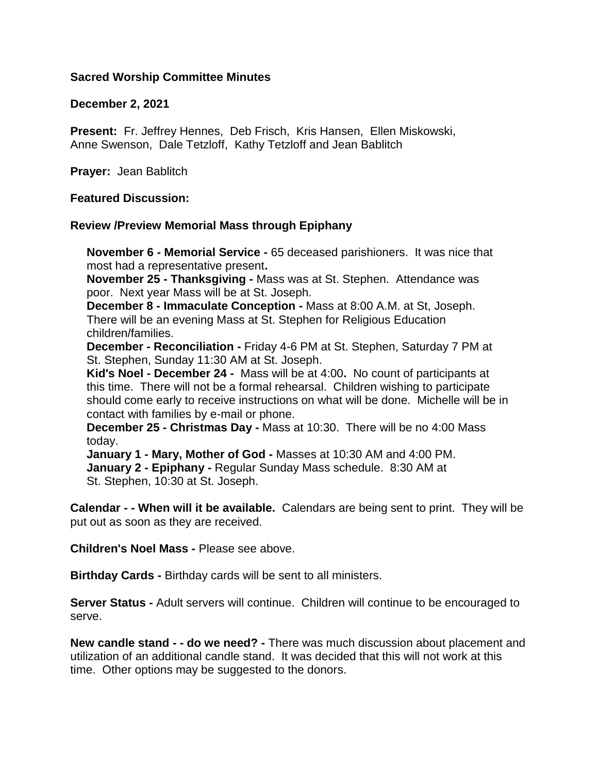## **Sacred Worship Committee Minutes**

## **December 2, 2021**

**Present:** Fr. Jeffrey Hennes, Deb Frisch, Kris Hansen, Ellen Miskowski, Anne Swenson, Dale Tetzloff, Kathy Tetzloff and Jean Bablitch

**Prayer:** Jean Bablitch

**Featured Discussion:**

## **Review /Preview Memorial Mass through Epiphany**

 **November 6 - Memorial Service -** 65 deceased parishioners. It was nice that most had a representative present**.**

 **November 25 - Thanksgiving -** Mass was at St. Stephen. Attendance was poor. Next year Mass will be at St. Joseph.

 **December 8 - Immaculate Conception -** Mass at 8:00 A.M. at St, Joseph. There will be an evening Mass at St. Stephen for Religious Education children/families.

 **December - Reconciliation -** Friday 4-6 PM at St. Stephen, Saturday 7 PM at St. Stephen, Sunday 11:30 AM at St. Joseph.

 **Kid's Noel - December 24 -** Mass will be at 4:00**.** No count of participants at this time. There will not be a formal rehearsal. Children wishing to participate should come early to receive instructions on what will be done. Michelle will be in contact with families by e-mail or phone.

 **December 25 - Christmas Day -** Mass at 10:30. There will be no 4:00 Mass today.

 **January 1 - Mary, Mother of God -** Masses at 10:30 AM and 4:00 PM.  **January 2 - Epiphany -** Regular Sunday Mass schedule. 8:30 AM at St. Stephen, 10:30 at St. Joseph.

**Calendar - - When will it be available.** Calendars are being sent to print. They will be put out as soon as they are received.

**Children's Noel Mass -** Please see above.

**Birthday Cards -** Birthday cards will be sent to all ministers.

**Server Status -** Adult servers will continue. Children will continue to be encouraged to serve.

**New candle stand - - do we need? -** There was much discussion about placement and utilization of an additional candle stand. It was decided that this will not work at this time. Other options may be suggested to the donors.